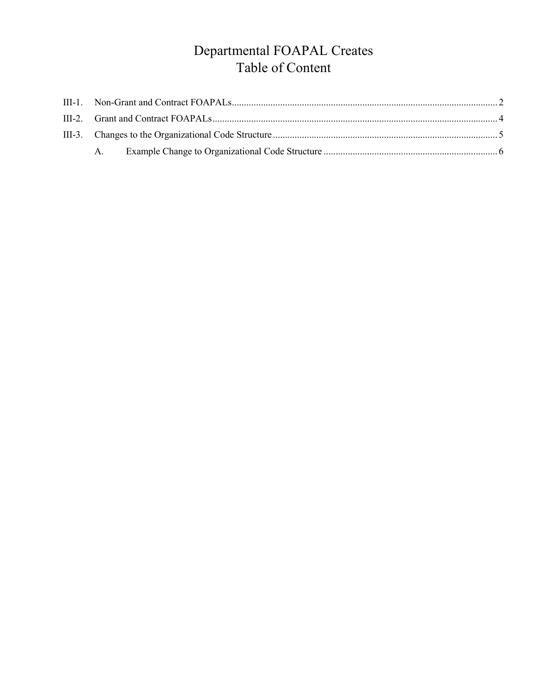# Departmental FOAPAL Creates Table of Content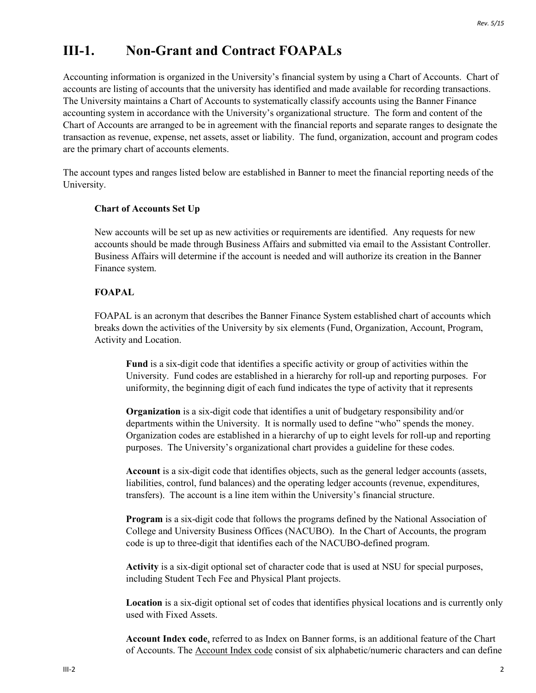### <span id="page-1-0"></span>**III-1. Non-Grant and Contract FOAPALs**

Accounting information is organized in the University's financial system by using a Chart of Accounts. Chart of accounts are listing of accounts that the university has identified and made available for recording transactions. The University maintains a Chart of Accounts to systematically classify accounts using the Banner Finance accounting system in accordance with the University's organizational structure. The form and content of the Chart of Accounts are arranged to be in agreement with the financial reports and separate ranges to designate the transaction as revenue, expense, net assets, asset or liability. The fund, organization, account and program codes are the primary chart of accounts elements.

The account types and ranges listed below are established in Banner to meet the financial reporting needs of the University.

#### **Chart of Accounts Set Up**

New accounts will be set up as new activities or requirements are identified. Any requests for new accounts should be made through Business Affairs and submitted via email to the Assistant Controller. Business Affairs will determine if the account is needed and will authorize its creation in the Banner Finance system.

#### **FOAPAL**

FOAPAL is an acronym that describes the Banner Finance System established chart of accounts which breaks down the activities of the University by six elements (Fund, Organization, Account, Program, Activity and Location.

**Fund** is a six-digit code that identifies a specific activity or group of activities within the University. Fund codes are established in a hierarchy for roll-up and reporting purposes. For uniformity, the beginning digit of each fund indicates the type of activity that it represents

**Organization** is a six-digit code that identifies a unit of budgetary responsibility and/or departments within the University. It is normally used to define "who" spends the money. Organization codes are established in a hierarchy of up to eight levels for roll-up and reporting purposes. The University's organizational chart provides a guideline for these codes.

**Account** is a six-digit code that identifies objects, such as the general ledger accounts (assets, liabilities, control, fund balances) and the operating ledger accounts (revenue, expenditures, transfers). The account is a line item within the University's financial structure.

**Program** is a six-digit code that follows the programs defined by the National Association of College and University Business Offices (NACUBO). In the Chart of Accounts, the program code is up to three-digit that identifies each of the NACUBO-defined program.

**Activity** is a six-digit optional set of character code that is used at NSU for special purposes, including Student Tech Fee and Physical Plant projects.

**Location** is a six-digit optional set of codes that identifies physical locations and is currently only used with Fixed Assets.

**Account Index code**, referred to as Index on Banner forms, is an additional feature of the Chart of Accounts. The Account Index code consist of six alphabetic/numeric characters and can define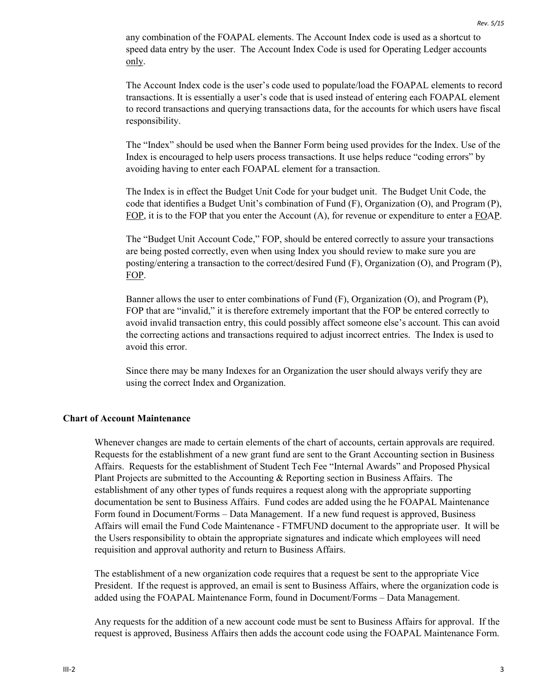any combination of the FOAPAL elements. The Account Index code is used as a shortcut to speed data entry by the user. The Account Index Code is used for Operating Ledger accounts only.

The Account Index code is the user's code used to populate/load the FOAPAL elements to record transactions. It is essentially a user's code that is used instead of entering each FOAPAL element to record transactions and querying transactions data, for the accounts for which users have fiscal responsibility.

The "Index" should be used when the Banner Form being used provides for the Index. Use of the Index is encouraged to help users process transactions. It use helps reduce "coding errors" by avoiding having to enter each FOAPAL element for a transaction.

The Index is in effect the Budget Unit Code for your budget unit. The Budget Unit Code, the code that identifies a Budget Unit's combination of Fund (F), Organization (O), and Program (P), FOP, it is to the FOP that you enter the Account (A), for revenue or expenditure to enter a FOAP.

The "Budget Unit Account Code," FOP, should be entered correctly to assure your transactions are being posted correctly, even when using Index you should review to make sure you are posting/entering a transaction to the correct/desired Fund (F), Organization (O), and Program (P), FOP.

Banner allows the user to enter combinations of Fund (F), Organization (O), and Program (P), FOP that are "invalid," it is therefore extremely important that the FOP be entered correctly to avoid invalid transaction entry, this could possibly affect someone else's account. This can avoid the correcting actions and transactions required to adjust incorrect entries. The Index is used to avoid this error.

Since there may be many Indexes for an Organization the user should always verify they are using the correct Index and Organization.

#### **Chart of Account Maintenance**

Whenever changes are made to certain elements of the chart of accounts, certain approvals are required. Requests for the establishment of a new grant fund are sent to the Grant Accounting section in Business Affairs. Requests for the establishment of Student Tech Fee "Internal Awards" and Proposed Physical Plant Projects are submitted to the Accounting & Reporting section in Business Affairs. The establishment of any other types of funds requires a request along with the appropriate supporting documentation be sent to Business Affairs. Fund codes are added using the he FOAPAL Maintenance Form found in Document/Forms – Data Management. If a new fund request is approved, Business Affairs will email the Fund Code Maintenance - FTMFUND document to the appropriate user. It will be the Users responsibility to obtain the appropriate signatures and indicate which employees will need requisition and approval authority and return to Business Affairs.

The establishment of a new organization code requires that a request be sent to the appropriate Vice President. If the request is approved, an email is sent to Business Affairs, where the organization code is added using the FOAPAL Maintenance Form, found in Document/Forms – Data Management.

Any requests for the addition of a new account code must be sent to Business Affairs for approval. If the request is approved, Business Affairs then adds the account code using the FOAPAL Maintenance Form.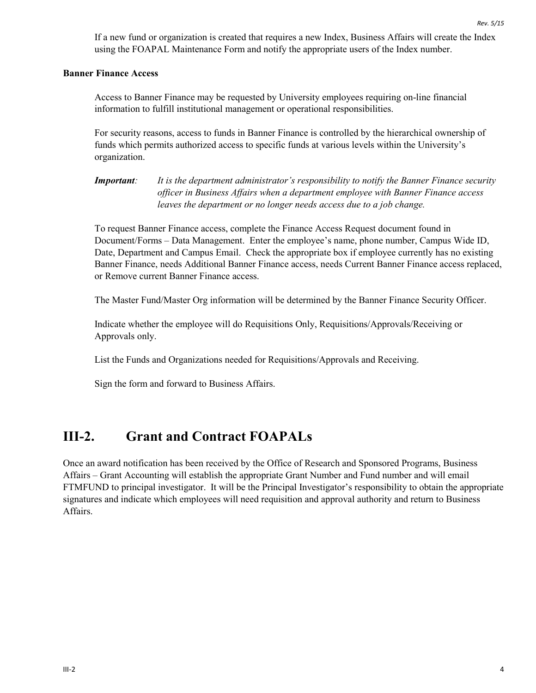If a new fund or organization is created that requires a new Index, Business Affairs will create the Index using the FOAPAL Maintenance Form and notify the appropriate users of the Index number.

#### **Banner Finance Access**

Access to Banner Finance may be requested by University employees requiring on-line financial information to fulfill institutional management or operational responsibilities.

For security reasons, access to funds in Banner Finance is controlled by the hierarchical ownership of funds which permits authorized access to specific funds at various levels within the University's organization.

*Important: It is the department administrator's responsibility to notify the Banner Finance security officer in Business Affairs when a department employee with Banner Finance access leaves the department or no longer needs access due to a job change.*

To request Banner Finance access, complete the Finance Access Request document found in Document/Forms – Data Management. Enter the employee's name, phone number, Campus Wide ID, Date, Department and Campus Email. Check the appropriate box if employee currently has no existing Banner Finance, needs Additional Banner Finance access, needs Current Banner Finance access replaced, or Remove current Banner Finance access.

The Master Fund/Master Org information will be determined by the Banner Finance Security Officer.

Indicate whether the employee will do Requisitions Only, Requisitions/Approvals/Receiving or Approvals only.

List the Funds and Organizations needed for Requisitions/Approvals and Receiving.

<span id="page-3-0"></span>Sign the form and forward to Business Affairs.

### **III-2. Grant and Contract FOAPALs**

Once an award notification has been received by the Office of Research and Sponsored Programs, Business Affairs – Grant Accounting will establish the appropriate Grant Number and Fund number and will email FTMFUND to principal investigator. It will be the Principal Investigator's responsibility to obtain the appropriate signatures and indicate which employees will need requisition and approval authority and return to Business Affairs.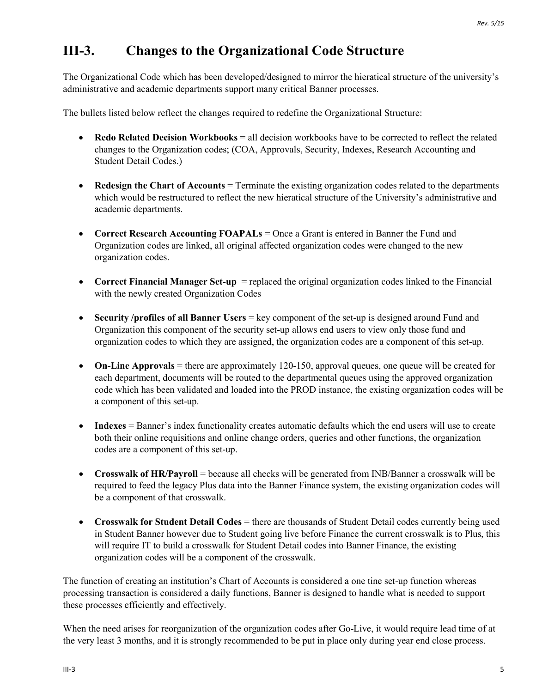## <span id="page-4-0"></span>**III-3. Changes to the Organizational Code Structure**

The Organizational Code which has been developed/designed to mirror the hieratical structure of the university's administrative and academic departments support many critical Banner processes.

The bullets listed below reflect the changes required to redefine the Organizational Structure:

- **Redo Related Decision Workbooks** = all decision workbooks have to be corrected to reflect the related changes to the Organization codes; (COA, Approvals, Security, Indexes, Research Accounting and Student Detail Codes.)
- **Redesign the Chart of Accounts** = Terminate the existing organization codes related to the departments which would be restructured to reflect the new hieratical structure of the University's administrative and academic departments.
- **Correct Research Accounting FOAPALs** = Once a Grant is entered in Banner the Fund and Organization codes are linked, all original affected organization codes were changed to the new organization codes.
- **Correct Financial Manager Set-up** = replaced the original organization codes linked to the Financial with the newly created Organization Codes
- **Security /profiles of all Banner Users** = key component of the set-up is designed around Fund and Organization this component of the security set-up allows end users to view only those fund and organization codes to which they are assigned, the organization codes are a component of this set-up.
- **On-Line Approvals** = there are approximately 120-150, approval queues, one queue will be created for each department, documents will be routed to the departmental queues using the approved organization code which has been validated and loaded into the PROD instance, the existing organization codes will be a component of this set-up.
- **Indexes** = Banner's index functionality creates automatic defaults which the end users will use to create both their online requisitions and online change orders, queries and other functions, the organization codes are a component of this set-up.
- **Crosswalk of HR/Payroll** = because all checks will be generated from INB/Banner a crosswalk will be required to feed the legacy Plus data into the Banner Finance system, the existing organization codes will be a component of that crosswalk.
- **Crosswalk for Student Detail Codes** = there are thousands of Student Detail codes currently being used in Student Banner however due to Student going live before Finance the current crosswalk is to Plus, this will require IT to build a crosswalk for Student Detail codes into Banner Finance, the existing organization codes will be a component of the crosswalk.

The function of creating an institution's Chart of Accounts is considered a one tine set-up function whereas processing transaction is considered a daily functions, Banner is designed to handle what is needed to support these processes efficiently and effectively.

When the need arises for reorganization of the organization codes after Go-Live, it would require lead time of at the very least 3 months, and it is strongly recommended to be put in place only during year end close process.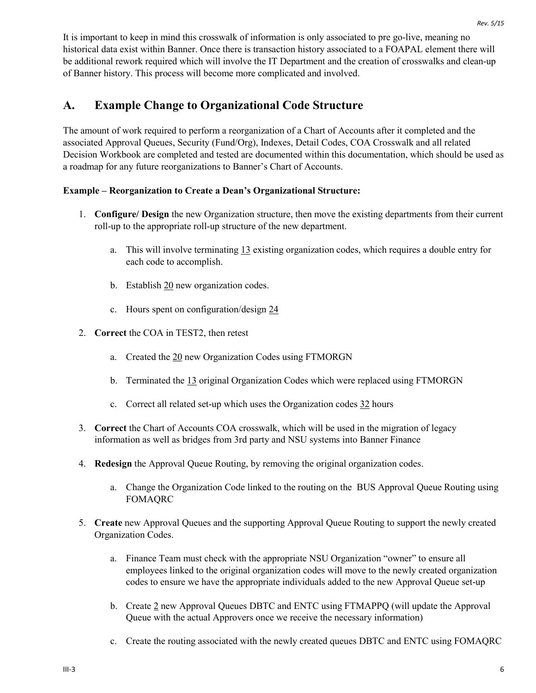It is important to keep in mind this crosswalk of information is only associated to pre go-live, meaning no historical data exist within Banner. Once there is transaction history associated to a FOAPAL element there will be additional rework required which will involve the IT Department and the creation of crosswalks and clean-up of Banner history. This process will become more complicated and involved.

### <span id="page-5-0"></span>**A. Example Change to Organizational Code Structure**

The amount of work required to perform a reorganization of a Chart of Accounts after it completed and the associated Approval Queues, Security (Fund/Org), Indexes, Detail Codes, COA Crosswalk and all related Decision Workbook are completed and tested are documented within this documentation, which should be used as a roadmap for any future reorganizations to Banner's Chart of Accounts.

#### **Example – Reorganization to Create a Dean's Organizational Structure:**

- 1. **Configure/ Design** the new Organization structure, then move the existing departments from their current roll-up to the appropriate roll-up structure of the new department.
	- a. This will involve terminating 13 existing organization codes, which requires a double entry for each code to accomplish.
	- b. Establish 20 new organization codes.
	- c. Hours spent on configuration/design 24
- 2. **Correct** the COA in TEST2, then retest
	- a. Created the 20 new Organization Codes using FTMORGN
	- b. Terminated the 13 original Organization Codes which were replaced using FTMORGN
	- c. Correct all related set-up which uses the Organization codes 32 hours
- 3. **Correct** the Chart of Accounts COA crosswalk, which will be used in the migration of legacy information as well as bridges from 3rd party and NSU systems into Banner Finance
- 4. **Redesign** the Approval Queue Routing, by removing the original organization codes.
	- a. Change the Organization Code linked to the routing on the BUS Approval Queue Routing using FOMAQRC
- 5. **Create** new Approval Queues and the supporting Approval Queue Routing to support the newly created Organization Codes.
	- a. Finance Team must check with the appropriate NSU Organization "owner" to ensure all employees linked to the original organization codes will move to the newly created organization codes to ensure we have the appropriate individuals added to the new Approval Queue set-up
	- b. Create 2 new Approval Queues DBTC and ENTC using FTMAPPQ (will update the Approval Queue with the actual Approvers once we receive the necessary information)
	- c. Create the routing associated with the newly created queues DBTC and ENTC using FOMAQRC